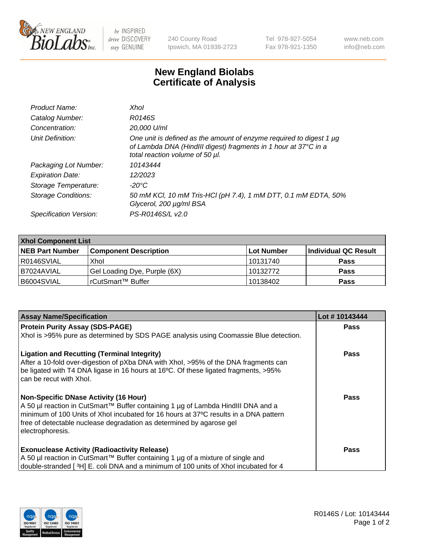

 $be$  INSPIRED drive DISCOVERY stay GENUINE

240 County Road Ipswich, MA 01938-2723 Tel 978-927-5054 Fax 978-921-1350 www.neb.com info@neb.com

## **New England Biolabs Certificate of Analysis**

| Product Name:              | Xhol                                                                                                                                                                      |
|----------------------------|---------------------------------------------------------------------------------------------------------------------------------------------------------------------------|
| Catalog Number:            | R0146S                                                                                                                                                                    |
| Concentration:             | 20,000 U/ml                                                                                                                                                               |
| Unit Definition:           | One unit is defined as the amount of enzyme required to digest 1 µg<br>of Lambda DNA (HindIII digest) fragments in 1 hour at 37°C in a<br>total reaction volume of 50 µl. |
| Packaging Lot Number:      | 10143444                                                                                                                                                                  |
| <b>Expiration Date:</b>    | 12/2023                                                                                                                                                                   |
| Storage Temperature:       | -20°C                                                                                                                                                                     |
| <b>Storage Conditions:</b> | 50 mM KCl, 10 mM Tris-HCl (pH 7.4), 1 mM DTT, 0.1 mM EDTA, 50%<br>Glycerol, 200 µg/ml BSA                                                                                 |
| Specification Version:     | PS-R0146S/L v2.0                                                                                                                                                          |

| <b>Xhol Component List</b> |                              |            |                      |  |  |
|----------------------------|------------------------------|------------|----------------------|--|--|
| <b>NEB Part Number</b>     | <b>Component Description</b> | Lot Number | Individual QC Result |  |  |
| I R0146SVIAL               | Xhol                         | 10131740   | <b>Pass</b>          |  |  |
| I B7024AVIAL               | Gel Loading Dye, Purple (6X) | 10132772   | <b>Pass</b>          |  |  |
| B6004SVIAL                 | rCutSmart™ Buffer            | 10138402   | <b>Pass</b>          |  |  |

| <b>Assay Name/Specification</b>                                                                                                                                                                                                                                                                                      | Lot #10143444 |
|----------------------------------------------------------------------------------------------------------------------------------------------------------------------------------------------------------------------------------------------------------------------------------------------------------------------|---------------|
| <b>Protein Purity Assay (SDS-PAGE)</b>                                                                                                                                                                                                                                                                               | <b>Pass</b>   |
| Xhol is >95% pure as determined by SDS PAGE analysis using Coomassie Blue detection.                                                                                                                                                                                                                                 |               |
| <b>Ligation and Recutting (Terminal Integrity)</b><br>After a 10-fold over-digestion of pXba DNA with Xhol, >95% of the DNA fragments can<br>be ligated with T4 DNA ligase in 16 hours at 16°C. Of these ligated fragments, >95%<br>can be recut with Xhol.                                                          | Pass          |
| <b>Non-Specific DNase Activity (16 Hour)</b><br>A 50 µl reaction in CutSmart™ Buffer containing 1 µg of Lambda HindIII DNA and a<br>minimum of 100 Units of Xhol incubated for 16 hours at 37°C results in a DNA pattern<br>free of detectable nuclease degradation as determined by agarose gel<br>electrophoresis. | <b>Pass</b>   |
| <b>Exonuclease Activity (Radioactivity Release)</b><br>A 50 µl reaction in CutSmart™ Buffer containing 1 µg of a mixture of single and<br>double-stranded [3H] E. coli DNA and a minimum of 100 units of Xhol incubated for 4                                                                                        | Pass          |